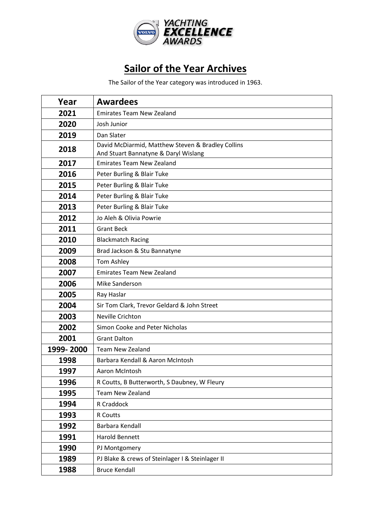

## **Sailor of the Year Archives**

The Sailor of the Year category was introduced in 1963.

| Year      | <b>Awardees</b>                                                                           |
|-----------|-------------------------------------------------------------------------------------------|
| 2021      | <b>Emirates Team New Zealand</b>                                                          |
| 2020      | Josh Junior                                                                               |
| 2019      | Dan Slater                                                                                |
| 2018      | David McDiarmid, Matthew Steven & Bradley Collins<br>And Stuart Bannatyne & Daryl Wislang |
| 2017      | <b>Emirates Team New Zealand</b>                                                          |
| 2016      | Peter Burling & Blair Tuke                                                                |
| 2015      | Peter Burling & Blair Tuke                                                                |
| 2014      | Peter Burling & Blair Tuke                                                                |
| 2013      | Peter Burling & Blair Tuke                                                                |
| 2012      | Jo Aleh & Olivia Powrie                                                                   |
| 2011      | <b>Grant Beck</b>                                                                         |
| 2010      | <b>Blackmatch Racing</b>                                                                  |
| 2009      | Brad Jackson & Stu Bannatyne                                                              |
| 2008      | Tom Ashley                                                                                |
| 2007      | <b>Emirates Team New Zealand</b>                                                          |
| 2006      | Mike Sanderson                                                                            |
| 2005      | Ray Haslar                                                                                |
| 2004      | Sir Tom Clark, Trevor Geldard & John Street                                               |
| 2003      | Neville Crichton                                                                          |
| 2002      | Simon Cooke and Peter Nicholas                                                            |
| 2001      | <b>Grant Dalton</b>                                                                       |
| 1999-2000 | <b>Team New Zealand</b>                                                                   |
| 1998      | Barbara Kendall & Aaron McIntosh                                                          |
| 1997      | Aaron McIntosh                                                                            |
| 1996      | R Coutts, B Butterworth, S Daubney, W Fleury                                              |
| 1995      | <b>Team New Zealand</b>                                                                   |
| 1994      | R Craddock                                                                                |
| 1993      | R Coutts                                                                                  |
| 1992      | Barbara Kendall                                                                           |
| 1991      | Harold Bennett                                                                            |
| 1990      | PJ Montgomery                                                                             |
| 1989      | PJ Blake & crews of Steinlager I & Steinlager II                                          |
| 1988      | <b>Bruce Kendall</b>                                                                      |